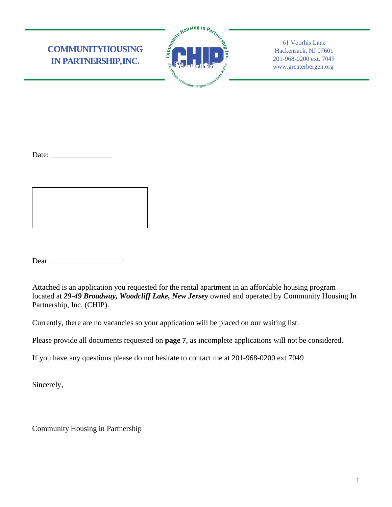# **COMMUNITYHOUSING IN PARTNERSHIP,INC.**



61 Voorhis Lane Hackensack, NJ 07601 201-968-0200 ext. 7049 [www.greaterbergen.org](http://www.greaterbergen.org/)

Date:

Dear \_\_\_\_\_\_\_\_\_\_\_\_\_\_\_\_\_\_\_:

Attached is an application you requested for the rental apartment in an affordable housing program located at *29-49 Broadway, Woodcliff Lake, New Jersey* owned and operated by Community Housing In Partnership, Inc. (CHIP).

Currently, there are no vacancies so your application will be placed on our waiting list.

Please provide all documents requested on **page 7**, as incomplete applications will not be considered.

If you have any questions please do not hesitate to contact me at 201-968-0200 ext 7049

Sincerely,

Community Housing in Partnership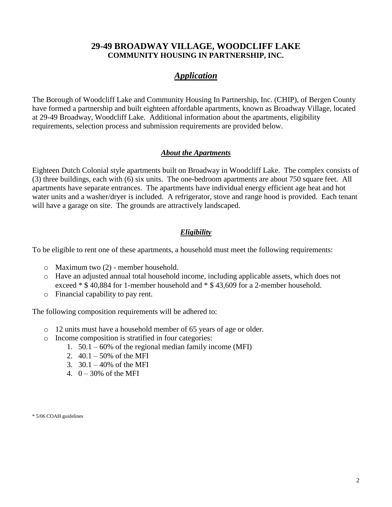# **29-49 BROADWAY VILLAGE, WOODCLIFF LAKE COMMUNITY HOUSING IN PARTNERSHIP, INC.**

# *Application*

The Borough of Woodcliff Lake and Community Housing In Partnership, Inc. (CHIP), of Bergen County have formed a partnership and built eighteen affordable apartments, known as Broadway Village, located at 29-49 Broadway, Woodcliff Lake. Additional information about the apartments, eligibility requirements, selection process and submission requirements are provided below.

### *About the Apartments*

Eighteen Dutch Colonial style apartments built on Broadway in Woodcliff Lake. The complex consists of (3) three buildings, each with (6) six units. The one-bedroom apartments are about 750 square feet. All apartments have separate entrances. The apartments have individual energy efficient age heat and hot water units and a washer/dryer is included. A refrigerator, stove and range hood is provided. Each tenant will have a garage on site. The grounds are attractively landscaped.

# *Eligibility*

To be eligible to rent one of these apartments, a household must meet the following requirements:

- o Maximum two (2) member household.
- o Have an adjusted annual total household income, including applicable assets, which does not exceed \* \$ 40,884 for 1-member household and \* \$ 43,609 for a 2-member household.
- o Financial capability to pay rent.

The following composition requirements will be adhered to:

- o 12 units must have a household member of 65 years of age or older.
- o Income composition is stratified in four categories:
	- 1. 50.1 60% of the regional median family income (MFI)
	- 2.  $40.1 50\%$  of the MFI
	- 3.  $30.1 40\%$  of the MFI
	- 4.  $0 30\%$  of the MFI

\* 5/06 COAH guidelines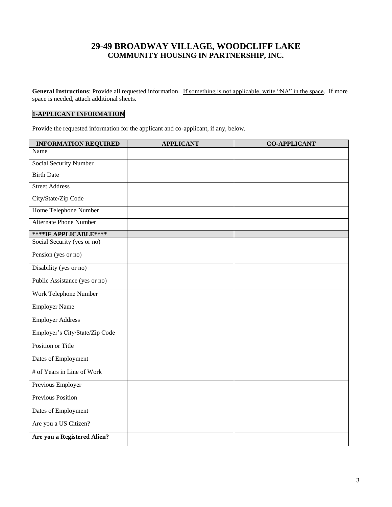# **29-49 BROADWAY VILLAGE, WOODCLIFF LAKE COMMUNITY HOUSING IN PARTNERSHIP, INC.**

General Instructions: Provide all requested information. If something is not applicable, write "NA" in the space. If more space is needed, attach additional sheets.

### **1-APPLICANT INFORMATION**

Provide the requested information for the applicant and co-applicant, if any, below.

| <b>INFORMATION REQUIRED</b>    | <b>APPLICANT</b> | <b>CO-APPLICANT</b> |
|--------------------------------|------------------|---------------------|
| Name                           |                  |                     |
| <b>Social Security Number</b>  |                  |                     |
| <b>Birth Date</b>              |                  |                     |
| <b>Street Address</b>          |                  |                     |
| City/State/Zip Code            |                  |                     |
| <b>Home Telephone Number</b>   |                  |                     |
| <b>Alternate Phone Number</b>  |                  |                     |
| ****IF APPLICABLE****          |                  |                     |
| Social Security (yes or no)    |                  |                     |
| Pension (yes or no)            |                  |                     |
| Disability (yes or no)         |                  |                     |
| Public Assistance (yes or no)  |                  |                     |
| Work Telephone Number          |                  |                     |
| Employer Name                  |                  |                     |
| <b>Employer Address</b>        |                  |                     |
| Employer's City/State/Zip Code |                  |                     |
| Position or Title              |                  |                     |
| Dates of Employment            |                  |                     |
| # of Years in Line of Work     |                  |                     |
| Previous Employer              |                  |                     |
| <b>Previous Position</b>       |                  |                     |
| Dates of Employment            |                  |                     |
| Are you a US Citizen?          |                  |                     |
| Are you a Registered Alien?    |                  |                     |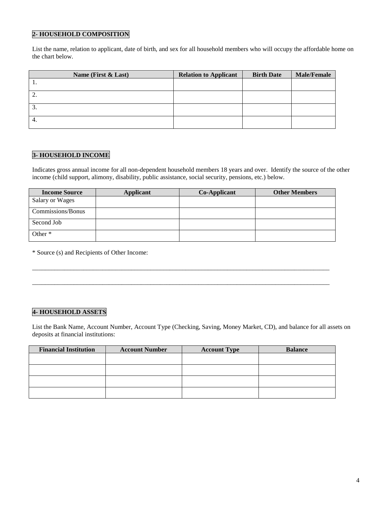#### **2- HOUSEHOLD COMPOSITION**

List the name, relation to applicant, date of birth, and sex for all household members who will occupy the affordable home on the chart below.

|                 | Name (First & Last) | <b>Relation to Applicant</b> | <b>Birth Date</b> | <b>Male/Female</b> |
|-----------------|---------------------|------------------------------|-------------------|--------------------|
|                 |                     |                              |                   |                    |
| ٠.              |                     |                              |                   |                    |
| $\mathfrak{I}.$ |                     |                              |                   |                    |
| 4.              |                     |                              |                   |                    |

### **3- HOUSEHOLD INCOME**

Indicates gross annual income for all non-dependent household members 18 years and over. Identify the source of the other income (child support, alimony, disability, public assistance, social security, pensions, etc.) below.

| <b>Income Source</b> | Applicant | Co-Applicant | <b>Other Members</b> |
|----------------------|-----------|--------------|----------------------|
| Salary or Wages      |           |              |                      |
| Commissions/Bonus    |           |              |                      |
| Second Job           |           |              |                      |
| Other $*$            |           |              |                      |

\_\_\_\_\_\_\_\_\_\_\_\_\_\_\_\_\_\_\_\_\_\_\_\_\_\_\_\_\_\_\_\_\_\_\_\_\_\_\_\_\_\_\_\_\_\_\_\_\_\_\_\_\_\_\_\_\_\_\_\_\_\_\_\_\_\_\_\_\_\_\_\_\_\_\_\_\_\_\_\_\_\_\_\_\_\_\_\_\_\_\_\_\_

\_\_\_\_\_\_\_\_\_\_\_\_\_\_\_\_\_\_\_\_\_\_\_\_\_\_\_\_\_\_\_\_\_\_\_\_\_\_\_\_\_\_\_\_\_\_\_\_\_\_\_\_\_\_\_\_\_\_\_\_\_\_\_\_\_\_\_\_\_\_\_\_\_\_\_\_\_\_\_\_\_\_\_\_\_\_\_\_\_\_\_\_\_

\* Source (s) and Recipients of Other Income:

### **4- HOUSEHOLD ASSETS**

List the Bank Name, Account Number, Account Type (Checking, Saving, Money Market, CD), and balance for all assets on deposits at financial institutions:

| <b>Financial Institution</b> | <b>Account Number</b> | <b>Account Type</b> | <b>Balance</b> |
|------------------------------|-----------------------|---------------------|----------------|
|                              |                       |                     |                |
|                              |                       |                     |                |
|                              |                       |                     |                |
|                              |                       |                     |                |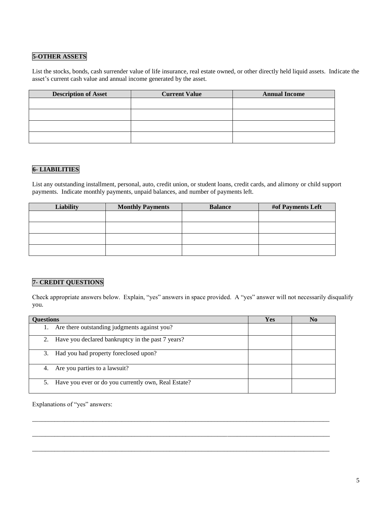#### **5-OTHER ASSETS**

List the stocks, bonds, cash surrender value of life insurance, real estate owned, or other directly held liquid assets. Indicate the asset's current cash value and annual income generated by the asset.

| <b>Description of Asset</b> | <b>Current Value</b> | <b>Annual Income</b> |
|-----------------------------|----------------------|----------------------|
|                             |                      |                      |
|                             |                      |                      |
|                             |                      |                      |
|                             |                      |                      |
|                             |                      |                      |

### **6- LIABILITIES**

List any outstanding installment, personal, auto, credit union, or student loans, credit cards, and alimony or child support payments. Indicate monthly payments, unpaid balances, and number of payments left.

| <b>Liability</b> | <b>Monthly Payments</b> | <b>Balance</b> | #of Payments Left |
|------------------|-------------------------|----------------|-------------------|
|                  |                         |                |                   |
|                  |                         |                |                   |
|                  |                         |                |                   |
|                  |                         |                |                   |

### **7- CREDIT QUESTIONS**

Check appropriate answers below. Explain, "yes" answers in space provided. A "yes" answer will not necessarily disqualify you.

| <b>Questions</b>                                    | Yes |  |
|-----------------------------------------------------|-----|--|
| Are there outstanding judgments against you?        |     |  |
| Have you declared bankruptcy in the past 7 years?   |     |  |
| Had you had property foreclosed upon?<br>3.         |     |  |
| Are you parties to a lawsuit?<br>4.                 |     |  |
| Have you ever or do you currently own, Real Estate? |     |  |

\_\_\_\_\_\_\_\_\_\_\_\_\_\_\_\_\_\_\_\_\_\_\_\_\_\_\_\_\_\_\_\_\_\_\_\_\_\_\_\_\_\_\_\_\_\_\_\_\_\_\_\_\_\_\_\_\_\_\_\_\_\_\_\_\_\_\_\_\_\_\_\_\_\_\_\_\_\_\_\_\_\_\_\_\_\_\_\_\_\_\_\_\_

\_\_\_\_\_\_\_\_\_\_\_\_\_\_\_\_\_\_\_\_\_\_\_\_\_\_\_\_\_\_\_\_\_\_\_\_\_\_\_\_\_\_\_\_\_\_\_\_\_\_\_\_\_\_\_\_\_\_\_\_\_\_\_\_\_\_\_\_\_\_\_\_\_\_\_\_\_\_\_\_\_\_\_\_\_\_\_\_\_\_\_\_\_

\_\_\_\_\_\_\_\_\_\_\_\_\_\_\_\_\_\_\_\_\_\_\_\_\_\_\_\_\_\_\_\_\_\_\_\_\_\_\_\_\_\_\_\_\_\_\_\_\_\_\_\_\_\_\_\_\_\_\_\_\_\_\_\_\_\_\_\_\_\_\_\_\_\_\_\_\_\_\_\_\_\_\_\_\_\_\_\_\_\_\_\_\_

Explanations of "yes" answers: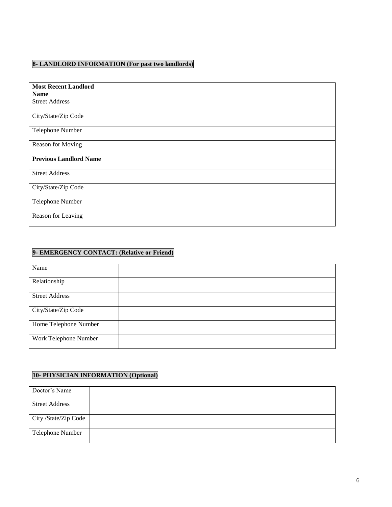### **8- LANDLORD INFORMATION (For past two landlords)**

| <b>Most Recent Landlord</b>   |  |
|-------------------------------|--|
| <b>Name</b>                   |  |
| <b>Street Address</b>         |  |
| City/State/Zip Code           |  |
| Telephone Number              |  |
| Reason for Moving             |  |
| <b>Previous Landlord Name</b> |  |
| <b>Street Address</b>         |  |
| City/State/Zip Code           |  |
| Telephone Number              |  |
| Reason for Leaving            |  |

### **9- EMERGENCY CONTACT: (Relative or Friend)**

| Name                  |  |
|-----------------------|--|
| Relationship          |  |
| <b>Street Address</b> |  |
| City/State/Zip Code   |  |
| Home Telephone Number |  |
| Work Telephone Number |  |

# **10- PHYSICIAN INFORMATION (Optional)**

| Doctor's Name         |  |
|-----------------------|--|
| <b>Street Address</b> |  |
| City /State/Zip Code  |  |
| Telephone Number      |  |